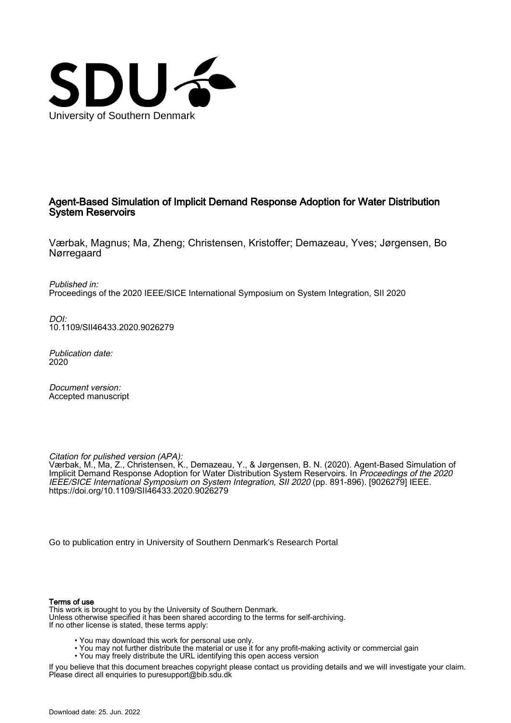

## Agent-Based Simulation of Implicit Demand Response Adoption for Water Distribution System Reservoirs

Værbak, Magnus; Ma, Zheng; Christensen, Kristoffer; Demazeau, Yves; Jørgensen, Bo Nørregaard

Published in: Proceedings of the 2020 IEEE/SICE International Symposium on System Integration, SII 2020

DOI: [10.1109/SII46433.2020.9026279](https://doi.org/10.1109/SII46433.2020.9026279)

Publication date: 2020

Document version: Accepted manuscript

Citation for pulished version (APA):

Værbak, M., Ma, Z., Christensen, K., Demazeau, Y., & Jørgensen, B. N. (2020). Agent-Based Simulation of Implicit Demand Response Adoption for Water Distribution System Reservoirs. In Proceedings of the 2020 IEEE/SICE International Symposium on System Integration, SII 2020 (pp. 891-896). [9026279] IEEE. <https://doi.org/10.1109/SII46433.2020.9026279>

[Go to publication entry in University of Southern Denmark's Research Portal](https://portal.findresearcher.sdu.dk/en/publications/c85ec872-10ac-4513-8df1-ddd0afda71e1)

#### Terms of use

This work is brought to you by the University of Southern Denmark. Unless otherwise specified it has been shared according to the terms for self-archiving. If no other license is stated, these terms apply:

- You may download this work for personal use only.
- You may not further distribute the material or use it for any profit-making activity or commercial gain
	- You may freely distribute the URL identifying this open access version

If you believe that this document breaches copyright please contact us providing details and we will investigate your claim. Please direct all enquiries to puresupport@bib.sdu.dk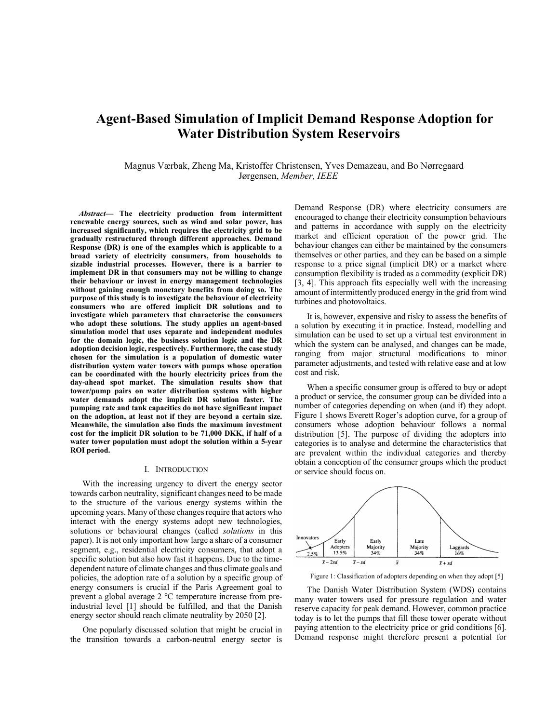# Agent-Based Simulation of Implicit Demand Response Adoption for Water Distribution System Reservoirs

Magnus Værbak, Zheng Ma, Kristoffer Christensen, Yves Demazeau, and Bo Nørregaard Jørgensen, Member, IEEE

Abstract— The electricity production from intermittent renewable energy sources, such as wind and solar power, has increased significantly, which requires the electricity grid to be gradually restructured through different approaches. Demand Response (DR) is one of the examples which is applicable to a broad variety of electricity consumers, from households to sizable industrial processes. However, there is a barrier to implement DR in that consumers may not be willing to change their behaviour or invest in energy management technologies without gaining enough monetary benefits from doing so. The purpose of this study is to investigate the behaviour of electricity consumers who are offered implicit DR solutions and to investigate which parameters that characterise the consumers who adopt these solutions. The study applies an agent-based simulation model that uses separate and independent modules for the domain logic, the business solution logic and the DR adoption decision logic, respectively. Furthermore, the case study chosen for the simulation is a population of domestic water distribution system water towers with pumps whose operation can be coordinated with the hourly electricity prices from the day-ahead spot market. The simulation results show that tower/pump pairs on water distribution systems with higher water demands adopt the implicit DR solution faster. The pumping rate and tank capacities do not have significant impact on the adoption, at least not if they are beyond a certain size. Meanwhile, the simulation also finds the maximum investment cost for the implicit DR solution to be 71,000 DKK, if half of a water tower population must adopt the solution within a 5-year ROI period.

#### I. INTRODUCTION

With the increasing urgency to divert the energy sector towards carbon neutrality, significant changes need to be made to the structure of the various energy systems within the upcoming years. Many of these changes require that actors who interact with the energy systems adopt new technologies, solutions or behavioural changes (called *solutions* in this paper). It is not only important how large a share of a consumer segment, e.g., residential electricity consumers, that adopt a specific solution but also how fast it happens. Due to the timedependent nature of climate changes and thus climate goals and policies, the adoption rate of a solution by a specific group of energy consumers is crucial if the Paris Agreement goal to prevent a global average 2 °C temperature increase from preindustrial level [1] should be fulfilled, and that the Danish energy sector should reach climate neutrality by 2050 [2].

One popularly discussed solution that might be crucial in the transition towards a carbon-neutral energy sector is Demand Response (DR) where electricity consumers are encouraged to change their electricity consumption behaviours and patterns in accordance with supply on the electricity market and efficient operation of the power grid. The behaviour changes can either be maintained by the consumers themselves or other parties, and they can be based on a simple response to a price signal (implicit DR) or a market where consumption flexibility is traded as a commodity (explicit DR) [3, 4]. This approach fits especially well with the increasing amount of intermittently produced energy in the grid from wind turbines and photovoltaics.

It is, however, expensive and risky to assess the benefits of a solution by executing it in practice. Instead, modelling and simulation can be used to set up a virtual test environment in which the system can be analysed, and changes can be made, ranging from major structural modifications to minor parameter adjustments, and tested with relative ease and at low cost and risk.

When a specific consumer group is offered to buy or adopt a product or service, the consumer group can be divided into a number of categories depending on when (and if) they adopt. Figure 1 shows Everett Roger's adoption curve, for a group of consumers whose adoption behaviour follows a normal distribution [5]. The purpose of dividing the adopters into categories is to analyse and determine the characteristics that are prevalent within the individual categories and thereby obtain a conception of the consumer groups which the product or service should focus on.



Figure 1: Classification of adopters depending on when they adopt [5]

The Danish Water Distribution System (WDS) contains many water towers used for pressure regulation and water reserve capacity for peak demand. However, common practice today is to let the pumps that fill these tower operate without paying attention to the electricity price or grid conditions [6]. Demand response might therefore present a potential for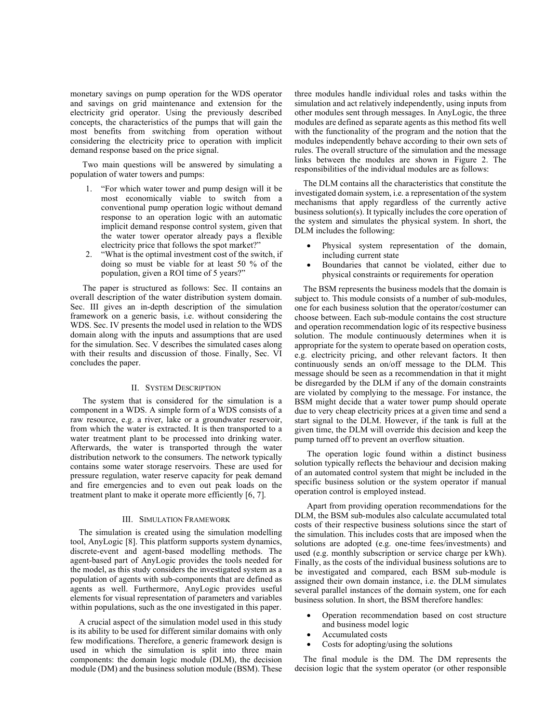monetary savings on pump operation for the WDS operator and savings on grid maintenance and extension for the electricity grid operator. Using the previously described concepts, the characteristics of the pumps that will gain the most benefits from switching from operation without considering the electricity price to operation with implicit demand response based on the price signal.

Two main questions will be answered by simulating a population of water towers and pumps:

- 1. "For which water tower and pump design will it be most economically viable to switch from a conventional pump operation logic without demand response to an operation logic with an automatic implicit demand response control system, given that the water tower operator already pays a flexible electricity price that follows the spot market?"
- 2. "What is the optimal investment cost of the switch, if doing so must be viable for at least 50 % of the population, given a ROI time of 5 years?"

The paper is structured as follows: Sec. II contains an overall description of the water distribution system domain. Sec. III gives an in-depth description of the simulation framework on a generic basis, i.e. without considering the WDS. Sec. IV presents the model used in relation to the WDS domain along with the inputs and assumptions that are used for the simulation. Sec. V describes the simulated cases along with their results and discussion of those. Finally, Sec. VI concludes the paper.

#### II. SYSTEM DESCRIPTION

The system that is considered for the simulation is a component in a WDS. A simple form of a WDS consists of a raw resource, e.g. a river, lake or a groundwater reservoir, from which the water is extracted. It is then transported to a water treatment plant to be processed into drinking water. Afterwards, the water is transported through the water distribution network to the consumers. The network typically contains some water storage reservoirs. These are used for pressure regulation, water reserve capacity for peak demand and fire emergencies and to even out peak loads on the treatment plant to make it operate more efficiently [6, 7].

#### III. SIMULATION FRAMEWORK

The simulation is created using the simulation modelling tool, AnyLogic [8]. This platform supports system dynamics, discrete-event and agent-based modelling methods. The agent-based part of AnyLogic provides the tools needed for the model, as this study considers the investigated system as a population of agents with sub-components that are defined as agents as well. Furthermore, AnyLogic provides useful elements for visual representation of parameters and variables within populations, such as the one investigated in this paper.

A crucial aspect of the simulation model used in this study is its ability to be used for different similar domains with only few modifications. Therefore, a generic framework design is used in which the simulation is split into three main components: the domain logic module (DLM), the decision module (DM) and the business solution module (BSM). These three modules handle individual roles and tasks within the simulation and act relatively independently, using inputs from other modules sent through messages. In AnyLogic, the three modules are defined as separate agents as this method fits well with the functionality of the program and the notion that the modules independently behave according to their own sets of rules. The overall structure of the simulation and the message links between the modules are shown in Figure 2. The responsibilities of the individual modules are as follows:

The DLM contains all the characteristics that constitute the investigated domain system, i.e. a representation of the system mechanisms that apply regardless of the currently active business solution(s). It typically includes the core operation of the system and simulates the physical system. In short, the DLM includes the following:

- Physical system representation of the domain, including current state
- Boundaries that cannot be violated, either due to physical constraints or requirements for operation

The BSM represents the business models that the domain is subject to. This module consists of a number of sub-modules, one for each business solution that the operator/costumer can choose between. Each sub-module contains the cost structure and operation recommendation logic of its respective business solution. The module continuously determines when it is appropriate for the system to operate based on operation costs, e.g. electricity pricing, and other relevant factors. It then continuously sends an on/off message to the DLM. This message should be seen as a recommendation in that it might be disregarded by the DLM if any of the domain constraints are violated by complying to the message. For instance, the BSM might decide that a water tower pump should operate due to very cheap electricity prices at a given time and send a start signal to the DLM. However, if the tank is full at the given time, the DLM will override this decision and keep the pump turned off to prevent an overflow situation.

The operation logic found within a distinct business solution typically reflects the behaviour and decision making of an automated control system that might be included in the specific business solution or the system operator if manual operation control is employed instead.

Apart from providing operation recommendations for the DLM, the BSM sub-modules also calculate accumulated total costs of their respective business solutions since the start of the simulation. This includes costs that are imposed when the solutions are adopted (e.g. one-time fees/investments) and used (e.g. monthly subscription or service charge per kWh). Finally, as the costs of the individual business solutions are to be investigated and compared, each BSM sub-module is assigned their own domain instance, i.e. the DLM simulates several parallel instances of the domain system, one for each business solution. In short, the BSM therefore handles:

- Operation recommendation based on cost structure and business model logic
- Accumulated costs
- Costs for adopting/using the solutions

The final module is the DM. The DM represents the decision logic that the system operator (or other responsible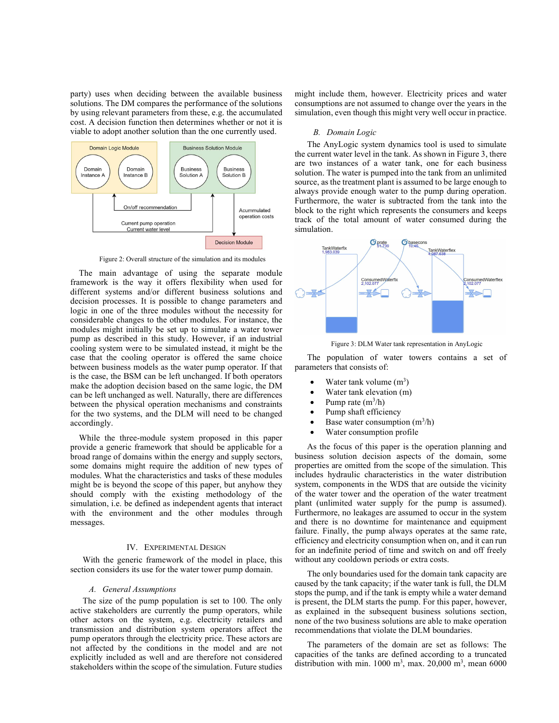party) uses when deciding between the available business might include the solutions. The DM compares the performance of the solutions by using relevant parameters from these, e.g. the accumulated cost. A decision function then determines whether or not it is viable to adopt another solution than the one currently used.



Figure 2: Overall structure of the simulation and its modules

The main advantage of using the separate module framework is the way it offers flexibility when used for different systems and/or different business solutions and decision processes. It is possible to change parameters and logic in one of the three modules without the necessity for considerable changes to the other modules. For instance, the modules might initially be set up to simulate a water tower pump as described in this study. However, if an industrial cooling system were to be simulated instead, it might be the case that the cooling operator is offered the same choice between business models as the water pump operator. If that is the case, the BSM can be left unchanged. If both operators make the adoption decision based on the same logic, the DM can be left unchanged as well. Naturally, there are differences between the physical operation mechanisms and constraints for the two systems, and the DLM will need to be changed accordingly.

While the three-module system proposed in this paper provide a generic framework that should be applicable for a broad range of domains within the energy and supply sectors, some domains might require the addition of new types of modules. What the characteristics and tasks of these modules might be is beyond the scope of this paper, but anyhow they should comply with the existing methodology of the simulation, i.e. be defined as independent agents that interact with the environment and the other modules through messages.

With the generic framework of the model in place, this section considers its use for the water tower pump domain.

#### A. General Assumptions

The size of the pump population is set to 100. The only active stakeholders are currently the pump operators, while other actors on the system, e.g. electricity retailers and transmission and distribution system operators affect the pump operators through the electricity price. These actors are not affected by the conditions in the model and are not explicitly included as well and are therefore not considered stakeholders within the scope of the simulation. Future studies might include them, however. Electricity prices and water consumptions are not assumed to change over the years in the simulation, even though this might very well occur in practice.

#### B. Domain Logic

The AnyLogic system dynamics tool is used to simulate the current water level in the tank. As shown in Figure 3, there are two instances of a water tank, one for each business solution. The water is pumped into the tank from an unlimited source, as the treatment plant is assumed to be large enough to always provide enough water to the pump during operation. Furthermore, the water is subtracted from the tank into the block to the right which represents the consumers and keeps track of the total amount of water consumed during the simulation.



Figure 3: DLM Water tank representation in AnyLogic

The population of water towers contains a set of parameters that consists of:

- Water tank volume  $(m^3)$
- Water tank elevation (m)
- Pump rate  $(m^3/h)$
- Pump shaft efficiency
- Base water consumption  $(m^3/h)$
- Water consumption profile

IV. EXPERIMENTAL DESIGN for an indefinite period of time and switch on and off freely As the focus of this paper is the operation planning and business solution decision aspects of the domain, some properties are omitted from the scope of the simulation. This includes hydraulic characteristics in the water distribution system, components in the WDS that are outside the vicinity of the water tower and the operation of the water treatment plant (unlimited water supply for the pump is assumed). Furthermore, no leakages are assumed to occur in the system and there is no downtime for maintenance and equipment failure. Finally, the pump always operates at the same rate, efficiency and electricity consumption when on, and it can run without any cooldown periods or extra costs.

> The only boundaries used for the domain tank capacity are caused by the tank capacity; if the water tank is full, the DLM stops the pump, and if the tank is empty while a water demand is present, the DLM starts the pump. For this paper, however, as explained in the subsequent business solutions section, none of the two business solutions are able to make operation recommendations that violate the DLM boundaries.

The parameters of the domain are set as follows: The capacities of the tanks are defined according to a truncated distribution with min. 1000 m<sup>3</sup>, max. 20,000 m<sup>3</sup>, mean 6000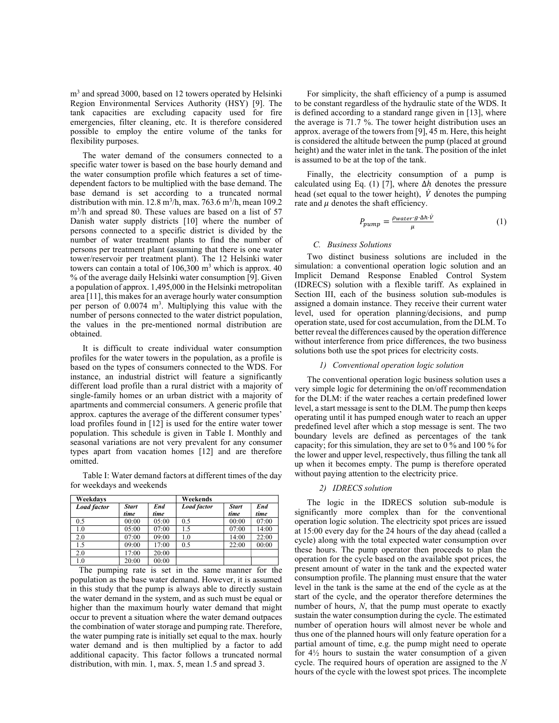m<sup>3</sup> and spread 3000, based on 12 towers operated by Helsinki Region Environmental Services Authority (HSY) [9]. The tank capacities are excluding capacity used for fire emergencies, filter cleaning, etc. It is therefore considered possible to employ the entire volume of the tanks for flexibility purposes.

The water demand of the consumers connected to a specific water tower is based on the base hourly demand and the water consumption profile which features a set of timedependent factors to be multiplied with the base demand. The base demand is set according to a truncated normal distribution with min.  $12.8 \text{ m}^3$ /h, max.  $763.6 \text{ m}^3$ /h, mean  $109.2$ m<sup>3</sup> /h and spread 80. These values are based on a list of 57 Danish water supply districts [10] where the number of persons connected to a specific district is divided by the number of water treatment plants to find the number of persons per treatment plant (assuming that there is one water tower/reservoir per treatment plant). The 12 Helsinki water towers can contain a total of  $106,300$  m<sup>3</sup> which is approx. 40 % of the average daily Helsinki water consumption [9]. Given a population of approx. 1,495,000 in the Helsinki metropolitan area [11], this makes for an average hourly water consumption per person of 0.0074 m<sup>3</sup> . Multiplying this value with the number of persons connected to the water district population, the values in the pre-mentioned normal distribution are obtained.

It is difficult to create individual water consumption profiles for the water towers in the population, as a profile is based on the types of consumers connected to the WDS. For instance, an industrial district will feature a significantly different load profile than a rural district with a majority of single-family homes or an urban district with a majority of apartments and commercial consumers. A generic profile that approx. captures the average of the different consumer types' load profiles found in [12] is used for the entire water tower population. This schedule is given in Table I. Monthly and seasonal variations are not very prevalent for any consumer types apart from vacation homes [12] and are therefore omitted.

Table I: Water demand factors at different times of the day for weekdays and weekends

| Weekdays           |                      |             | Weekends           |                      |             |
|--------------------|----------------------|-------------|--------------------|----------------------|-------------|
| <b>Load factor</b> | <b>Start</b><br>time | End<br>time | <b>Load factor</b> | <b>Start</b><br>time | End<br>time |
| 0.5                | 00:00                | 05:00       | 0.5                | 00:00                | 07:00       |
| 1.0                | 05:00                | 07:00       | 1.5                | 07:00                | 14:00       |
| 2.0                | 07:00                | 09:00       | 1.0                | 14:00                | 22:00       |
| 1.5                | 09:00                | 17:00       | 0.5                | 22:00                | 00:00       |
| 2.0                | 17:00                | 20:00       |                    |                      |             |
| 1.0                | 20:00                | 00:00       |                    |                      |             |

The pumping rate is set in the same manner for the population as the base water demand. However, it is assumed in this study that the pump is always able to directly sustain the water demand in the system, and as such must be equal or higher than the maximum hourly water demand that might occur to prevent a situation where the water demand outpaces the combination of water storage and pumping rate. Therefore, the water pumping rate is initially set equal to the max. hourly water demand and is then multiplied by a factor to add additional capacity. This factor follows a truncated normal distribution, with min. 1, max. 5, mean 1.5 and spread 3.

For simplicity, the shaft efficiency of a pump is assumed to be constant regardless of the hydraulic state of the WDS. It is defined according to a standard range given in [13], where the average is 71.7 %. The tower height distribution uses an approx. average of the towers from [9], 45 m. Here, this height is considered the altitude between the pump (placed at ground height) and the water inlet in the tank. The position of the inlet is assumed to be at the top of the tank.

Finally, the electricity consumption of a pump is calculated using Eq. (1) [7], where  $\Delta h$  denotes the pressure head (set equal to the tower height),  $\dot{V}$  denotes the pumping rate and  $\mu$  denotes the shaft efficiency.

$$
P_{pump} = \frac{\rho_{water} g \cdot \Delta h \cdot \dot{V}}{\mu} \tag{1}
$$

### C. Business Solutions

Two distinct business solutions are included in the simulation: a conventional operation logic solution and an Implicit Demand Response Enabled Control System (IDRECS) solution with a flexible tariff. As explained in Section III, each of the business solution sub-modules is assigned a domain instance. They receive their current water level, used for operation planning/decisions, and pump operation state, used for cost accumulation, from the DLM. To better reveal the differences caused by the operation difference without interference from price differences, the two business solutions both use the spot prices for electricity costs.

#### 1) Conventional operation logic solution

The conventional operation logic business solution uses a very simple logic for determining the on/off recommendation for the DLM: if the water reaches a certain predefined lower level, a start message is sent to the DLM. The pump then keeps operating until it has pumped enough water to reach an upper predefined level after which a stop message is sent. The two boundary levels are defined as percentages of the tank capacity; for this simulation, they are set to 0 % and 100 % for the lower and upper level, respectively, thus filling the tank all up when it becomes empty. The pump is therefore operated without paying attention to the electricity price.

#### 2) IDRECS solution

The logic in the IDRECS solution sub-module is significantly more complex than for the conventional operation logic solution. The electricity spot prices are issued at 15:00 every day for the 24 hours of the day ahead (called a cycle) along with the total expected water consumption over these hours. The pump operator then proceeds to plan the operation for the cycle based on the available spot prices, the present amount of water in the tank and the expected water consumption profile. The planning must ensure that the water level in the tank is the same at the end of the cycle as at the start of the cycle, and the operator therefore determines the number of hours, N, that the pump must operate to exactly sustain the water consumption during the cycle. The estimated number of operation hours will almost never be whole and thus one of the planned hours will only feature operation for a partial amount of time, e.g. the pump might need to operate for  $4\frac{1}{2}$  hours to sustain the water consumption of a given cycle. The required hours of operation are assigned to the  $N$ hours of the cycle with the lowest spot prices. The incomplete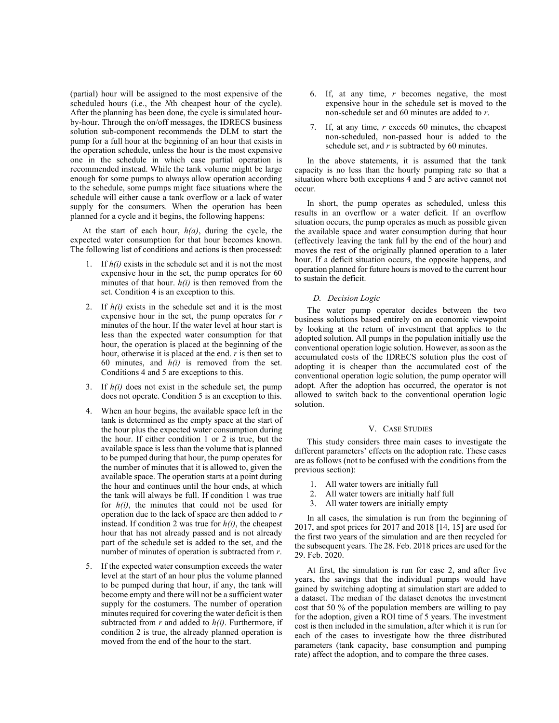(partial) hour will be assigned to the most expensive of the scheduled hours (i.e., the Nth cheapest hour of the cycle). After the planning has been done, the cycle is simulated hourby-hour. Through the on/off messages, the IDRECS business solution sub-component recommends the DLM to start the pump for a full hour at the beginning of an hour that exists in the operation schedule, unless the hour is the most expensive one in the schedule in which case partial operation is recommended instead. While the tank volume might be large enough for some pumps to always allow operation according to the schedule, some pumps might face situations where the schedule will either cause a tank overflow or a lack of water supply for the consumers. When the operation has been planned for a cycle and it begins, the following happens:

At the start of each hour,  $h(a)$ , during the cycle, the expected water consumption for that hour becomes known. The following list of conditions and actions is then processed:

- 1. If  $h(i)$  exists in the schedule set and it is not the most expensive hour in the set, the pump operates for 60 minutes of that hour.  $h(i)$  is then removed from the set. Condition 4 is an exception to this.
- 2. If  $h(i)$  exists in the schedule set and it is the most expensive hour in the set, the pump operates for  $r$ minutes of the hour. If the water level at hour start is less than the expected water consumption for that hour, the operation is placed at the beginning of the hour, otherwise it is placed at the end.  $r$  is then set to 60 minutes, and  $h(i)$  is removed from the set. Conditions 4 and 5 are exceptions to this.
- 3. If  $h(i)$  does not exist in the schedule set, the pump does not operate. Condition 5 is an exception to this.
- 4. When an hour begins, the available space left in the tank is determined as the empty space at the start of the hour plus the expected water consumption during the hour. If either condition 1 or 2 is true, but the available space is less than the volume that is planned to be pumped during that hour, the pump operates for the number of minutes that it is allowed to, given the available space. The operation starts at a point during the hour and continues until the hour ends, at which the tank will always be full. If condition 1 was true for  $h(i)$ , the minutes that could not be used for operation due to the lack of space are then added to r instead. If condition 2 was true for  $h(i)$ , the cheapest hour that has not already passed and is not already part of the schedule set is added to the set, and the number of minutes of operation is subtracted from r.
- 5. If the expected water consumption exceeds the water level at the start of an hour plus the volume planned to be pumped during that hour, if any, the tank will become empty and there will not be a sufficient water supply for the costumers. The number of operation minutes required for covering the water deficit is then subtracted from  $r$  and added to  $h(i)$ . Furthermore, if condition 2 is true, the already planned operation is moved from the end of the hour to the start.
- 6. If, at any time,  $r$  becomes negative, the most expensive hour in the schedule set is moved to the non-schedule set and 60 minutes are added to r.
- If, at any time,  $r$  exceeds 60 minutes, the cheapest non-scheduled, non-passed hour is added to the schedule set, and  $r$  is subtracted by 60 minutes.

In the above statements, it is assumed that the tank capacity is no less than the hourly pumping rate so that a situation where both exceptions 4 and 5 are active cannot not occur.

In short, the pump operates as scheduled, unless this results in an overflow or a water deficit. If an overflow situation occurs, the pump operates as much as possible given the available space and water consumption during that hour (effectively leaving the tank full by the end of the hour) and moves the rest of the originally planned operation to a later hour. If a deficit situation occurs, the opposite happens, and operation planned for future hours is moved to the current hour to sustain the deficit.

#### D. Decision Logic

The water pump operator decides between the two business solutions based entirely on an economic viewpoint by looking at the return of investment that applies to the adopted solution. All pumps in the population initially use the conventional operation logic solution. However, as soon as the accumulated costs of the IDRECS solution plus the cost of adopting it is cheaper than the accumulated cost of the conventional operation logic solution, the pump operator will adopt. After the adoption has occurred, the operator is not allowed to switch back to the conventional operation logic solution.

#### V. CASE STUDIES

This study considers three main cases to investigate the different parameters' effects on the adoption rate. These cases are as follows (not to be confused with the conditions from the previous section):

- 1. All water towers are initially full
- 2. All water towers are initially half full
- 3. All water towers are initially empty

In all cases, the simulation is run from the beginning of 2017, and spot prices for 2017 and 2018 [14, 15] are used for the first two years of the simulation and are then recycled for the subsequent years. The 28. Feb. 2018 prices are used for the 29. Feb. 2020.

At first, the simulation is run for case 2, and after five years, the savings that the individual pumps would have gained by switching adopting at simulation start are added to a dataset. The median of the dataset denotes the investment cost that 50 % of the population members are willing to pay for the adoption, given a ROI time of 5 years. The investment cost is then included in the simulation, after which it is run for each of the cases to investigate how the three distributed parameters (tank capacity, base consumption and pumping rate) affect the adoption, and to compare the three cases.